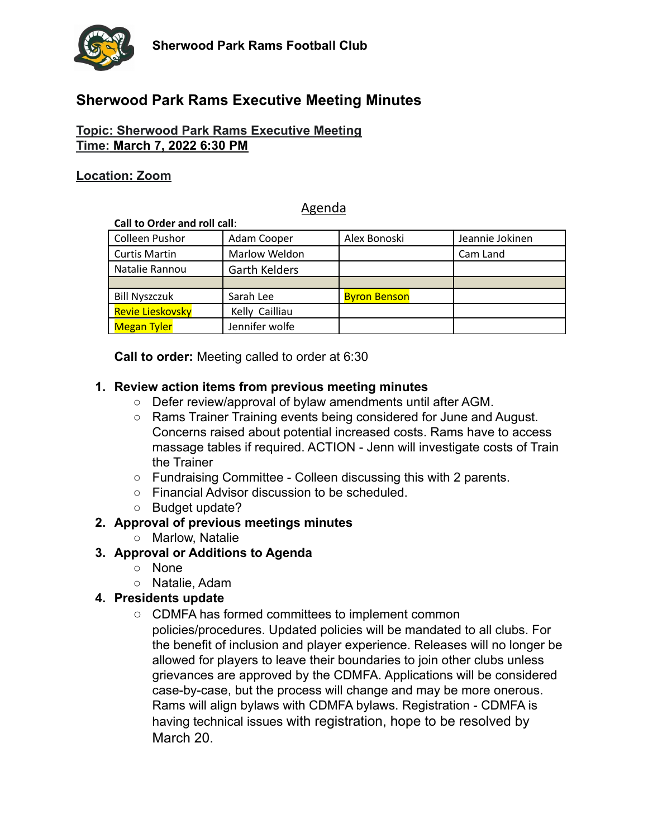

# **Sherwood Park Rams Executive Meeting Minutes**

### **Topic: Sherwood Park Rams Executive Meeting Time: March 7, 2022 6:30 PM**

#### **Location: Zoom**

### Agenda

| Call to Order and roll call: |                      |                     |                 |
|------------------------------|----------------------|---------------------|-----------------|
| Colleen Pushor               | Adam Cooper          | Alex Bonoski        | Jeannie Jokinen |
| <b>Curtis Martin</b>         | Marlow Weldon        |                     | Cam Land        |
| Natalie Rannou               | <b>Garth Kelders</b> |                     |                 |
|                              |                      |                     |                 |
| <b>Bill Nyszczuk</b>         | Sarah Lee            | <b>Byron Benson</b> |                 |
| Revie Lieskovsky             | Kelly Cailliau       |                     |                 |
| <b>Megan Tyler</b>           | Jennifer wolfe       |                     |                 |

**Call to order:** Meeting called to order at 6:30

#### **1. Review action items from previous meeting minutes**

- Defer review/approval of bylaw amendments until after AGM.
- Rams Trainer Training events being considered for June and August. Concerns raised about potential increased costs. Rams have to access massage tables if required. ACTION - Jenn will investigate costs of Train the Trainer
- Fundraising Committee Colleen discussing this with 2 parents.
- Financial Advisor discussion to be scheduled.
- Budget update?

#### **2. Approval of previous meetings minutes**

○ Marlow, Natalie

#### **3. Approval or Additions to Agenda**

- None
- Natalie, Adam

#### **4. Presidents update**

○ CDMFA has formed committees to implement common policies/procedures. Updated policies will be mandated to all clubs. For the benefit of inclusion and player experience. Releases will no longer be allowed for players to leave their boundaries to join other clubs unless grievances are approved by the CDMFA. Applications will be considered case-by-case, but the process will change and may be more onerous. Rams will align bylaws with CDMFA bylaws. Registration - CDMFA is having technical issues with registration, hope to be resolved by March 20.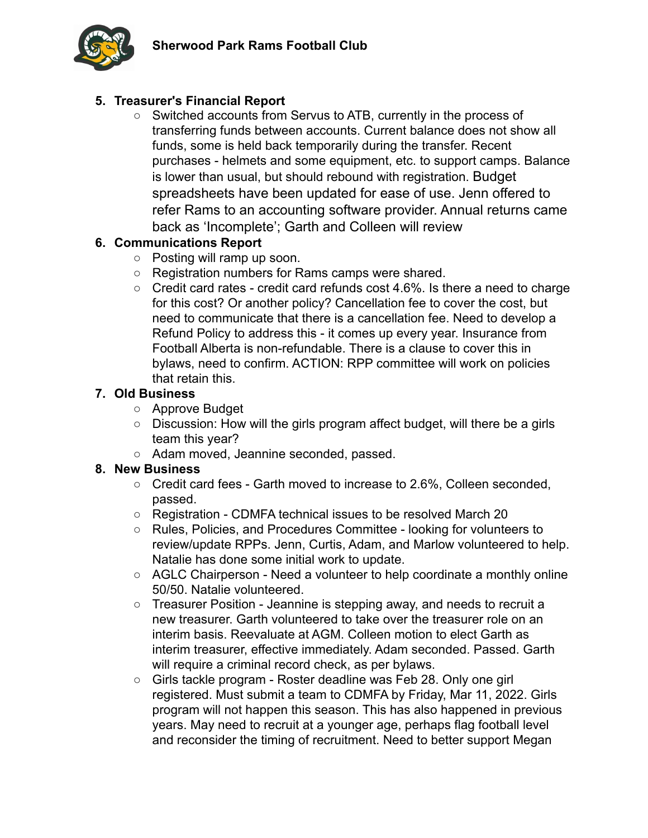

# **5. Treasurer's Financial Report**

○ Switched accounts from Servus to ATB, currently in the process of transferring funds between accounts. Current balance does not show all funds, some is held back temporarily during the transfer. Recent purchases - helmets and some equipment, etc. to support camps. Balance is lower than usual, but should rebound with registration. Budget spreadsheets have been updated for ease of use. Jenn offered to refer Rams to an accounting software provider. Annual returns came back as 'Incomplete'; Garth and Colleen will review

# **6. Communications Report**

- Posting will ramp up soon.
- Registration numbers for Rams camps were shared.
- Credit card rates credit card refunds cost 4.6%. Is there a need to charge for this cost? Or another policy? Cancellation fee to cover the cost, but need to communicate that there is a cancellation fee. Need to develop a Refund Policy to address this - it comes up every year. Insurance from Football Alberta is non-refundable. There is a clause to cover this in bylaws, need to confirm. ACTION: RPP committee will work on policies that retain this.

# **7. Old Business**

- Approve Budget
- Discussion: How will the girls program affect budget, will there be a girls team this year?
- Adam moved, Jeannine seconded, passed.

### **8. New Business**

- Credit card fees Garth moved to increase to 2.6%, Colleen seconded, passed.
- Registration CDMFA technical issues to be resolved March 20
- Rules, Policies, and Procedures Committee looking for volunteers to review/update RPPs. Jenn, Curtis, Adam, and Marlow volunteered to help. Natalie has done some initial work to update.
- AGLC Chairperson Need a volunteer to help coordinate a monthly online 50/50. Natalie volunteered.
- Treasurer Position Jeannine is stepping away, and needs to recruit a new treasurer. Garth volunteered to take over the treasurer role on an interim basis. Reevaluate at AGM. Colleen motion to elect Garth as interim treasurer, effective immediately. Adam seconded. Passed. Garth will require a criminal record check, as per bylaws.
- Girls tackle program Roster deadline was Feb 28. Only one girl registered. Must submit a team to CDMFA by Friday, Mar 11, 2022. Girls program will not happen this season. This has also happened in previous years. May need to recruit at a younger age, perhaps flag football level and reconsider the timing of recruitment. Need to better support Megan